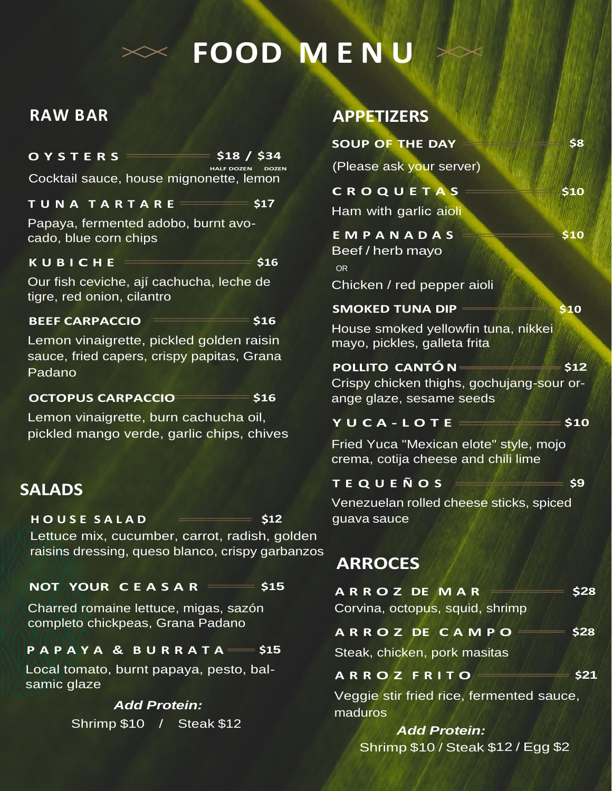# **FOOD M E N U**

## **RAW BAR**

# **O Y S T E R S \$18 / \$34**

**HALF DOZEN DOZEN** Cocktail sauce, house mignonette, lemon

#### **T U N A T A R T A R E \$17**

Papaya, fermented adobo, burnt avocado, blue corn chips

#### **K U B I C H E \$16**

Our fish ceviche, ají cachucha, leche de tigre, red onion, cilantro

#### **BEEF CARPACCIO \$16**

Lemon vinaigrette, pickled golden raisin sauce, fried capers, crispy papitas, Grana Padano

#### **OCTOPUS CARPACCIO \$16**

Lemon vinaigrette, burn cachucha oil, pickled mango verde, garlic chips, chives

## **SALADS**

#### **H O U S E S A L A D \$12** guava sauce

Lettuce mix, cucumber, carrot, radish, golden raisins dressing, queso blanco, crispy garbanzos

## **NOT YOUR C E A S A R \$15**

Charred romaine lettuce, migas, sazón completo chickpeas, Grana Padano

## **P A P A Y A & B U R R A T A \$15**

Local tomato, burnt papaya, pesto, balsamic glaze

## *Add Protein:*

Shrimp \$10 / Steak \$12

## **APPETIZERS**

| <b>SOUP OF THE DAY</b>                                                                           | \$8  |
|--------------------------------------------------------------------------------------------------|------|
| (Please ask your server)                                                                         |      |
| CROQUETAS<br>Ham with garlic aioli                                                               | \$10 |
| EMPANADAS<br>Beef / herb mayo<br><b>OR</b>                                                       | \$10 |
| Chicken / red pepper aioli                                                                       |      |
| <b>SMOKED TUNA DIP</b>                                                                           | \$10 |
| House smoked yellowfin tuna, nikkei<br>mayo, pickles, galleta frita                              |      |
| <b>POLLITO CANTÓ NE</b><br>Crispy chicken thighs, gochujang-sour or-<br>ange glaze, sesame seeds | \$12 |
| YUCA-LOTE:                                                                                       | \$10 |
| Fried Yuca "Mexican elote" style, mojo                                                           |      |

crema, cotija cheese and chili lime

**T E Q U E Ñ O S \$9**

Venezuelan rolled cheese sticks, spiced

# **ARROCES**

| <b>ARROZDEMAR</b>               | \$28 |
|---------------------------------|------|
| Corvina, octopus, squid, shrimp |      |
| <b>ARROZDE CAMPO</b>            | \$28 |
| Steak, chicken, pork masitas    |      |

**A R R O Z F R I T O \$21**

Veggie stir fried rice, fermented sauce, maduros

*Add Protein:* Shrimp \$10 / Steak \$12 / Egg \$2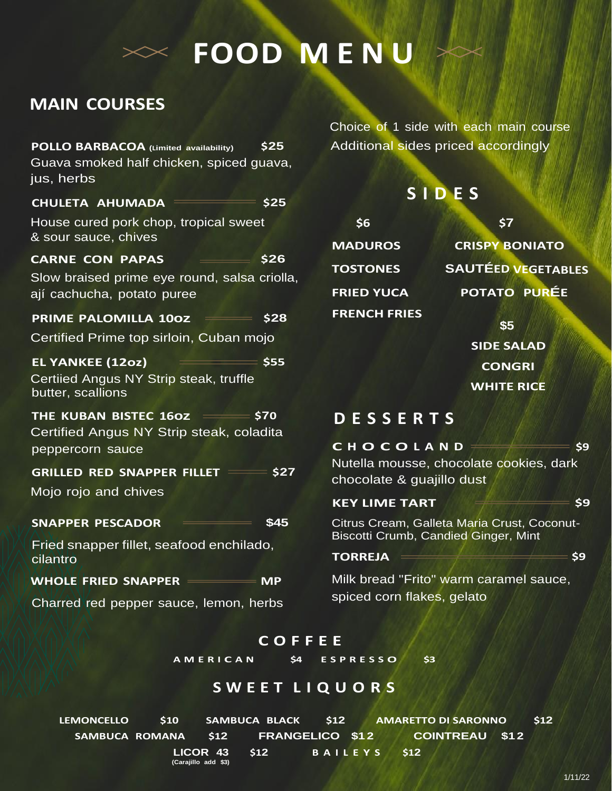# **FOOD M E N U**

# **MAIN COURSES**

| <b>POLLO BARBACOA</b> (Limited availability)                               | \$25   |  |
|----------------------------------------------------------------------------|--------|--|
| Guava smoked half chicken, spiced guava,<br>jus, herbs                     |        |  |
| CHULETA AHUMADA = \$25                                                     |        |  |
| House cured pork chop, tropical sweet<br>& sour sauce, chives              |        |  |
| <b>CARNE CON PAPAS</b>                                                     | \$26   |  |
| Slow braised prime eye round, salsa criolla,<br>ají cachucha, potato puree |        |  |
| <b>PRIME PALOMILLA 100Z \$28</b>                                           |        |  |
| Certified Prime top sirloin, Cuban mojo                                    |        |  |
| $\sim$ 555<br><b>EL YANKEE (12oz)</b>                                      |        |  |
| Certiied Angus NY Strip steak, truffle<br>butter, scallions                |        |  |
| THE KUBAN BISTEC 160Z = \$70                                               |        |  |
| Certified Angus NY Strip steak, coladita<br>peppercorn sauce               |        |  |
| GRILLED RED SNAPPER FILLET = \$27                                          |        |  |
| Mojo rojo and chives                                                       |        |  |
| <b>SNAPPER PESCADOR</b>                                                    | \$45   |  |
| Fried snapper fillet, seafood enchilado,<br>cilantro                       |        |  |
| <b>WHOLE FRIED SNAPPER</b>                                                 | $=$ MP |  |
| Charred red pepper sauce, lemon, herbs                                     |        |  |

Choice of 1 side with each main course Additional sides priced accordingly

## **S I D E S**

| \$6                 | \$7             |
|---------------------|-----------------|
| <b>MADUROS</b>      | <b>CRISPY B</b> |
| <b>TOSTONES</b>     | <b>SAUTÉED</b>  |
| <b>FRIED YUCA</b>   | <b>POTATO</b>   |
| <b>FRENCH FRIES</b> |                 |

**CRISPY BONIATO TOSTONES SAUTÉED VEGETABLES POTATO PURÉE**

> **\$5 SIDE SALAD CONGRI WHITE RICE**

## **D E S S E R T S**

# **C H O C O L A N D \$9** Nutella mousse, chocolate cookies, dark chocolate & guajillo dust

#### **KEY LIME TART**  $\qquad \qquad$  \$9

Citrus Cream, Galleta Maria Crust, Coconut-Biscotti Crumb, Candied Ginger, Mint

#### **TORREJA \$9**

Milk bread "Frito" warm caramel sauce, spiced corn flakes, gelato

## **C O F F E E**

**A M E R I C A N \$4 E S P R E S S O \$3**

## **S W E E T L I Q U O R S**

**LEMONCELLO \$10 SAMBUCA BLACK \$12 AMARETTO DI SARONNO \$12 SAMBUCA ROMANA \$12 FRANGELICO \$12 COINTREAU \$12 LICOR 43 \$12 B A I L E Y S \$12 (Carajillo add \$3)**